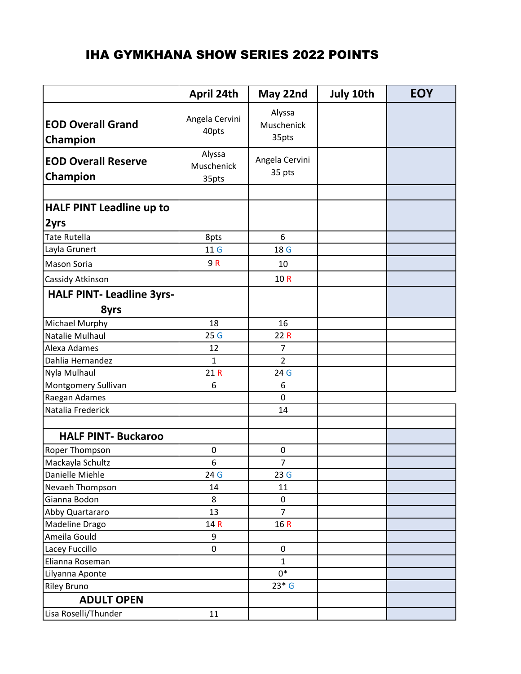## IHA GYMKHANA SHOW SERIES 2022 POINTS

|                                        | April 24th                    | May 22nd                      | July 10th | <b>EOY</b> |
|----------------------------------------|-------------------------------|-------------------------------|-----------|------------|
| <b>EOD Overall Grand</b><br>Champion   | Angela Cervini<br>40pts       | Alyssa<br>Muschenick<br>35pts |           |            |
| <b>EOD Overall Reserve</b><br>Champion | Alyssa<br>Muschenick<br>35pts | Angela Cervini<br>35 pts      |           |            |
|                                        |                               |                               |           |            |
| <b>HALF PINT Leadline up to</b>        |                               |                               |           |            |
| 2yrs                                   |                               |                               |           |            |
| <b>Tate Rutella</b>                    | 8pts                          | 6                             |           |            |
| Layla Grunert                          | 11 G                          | 18 G                          |           |            |
| <b>Mason Soria</b>                     | 9R                            | 10                            |           |            |
| Cassidy Atkinson                       |                               | 10R                           |           |            |
| <b>HALF PINT- Leadline 3yrs-</b>       |                               |                               |           |            |
| 8yrs                                   |                               |                               |           |            |
| Michael Murphy                         | 18                            | 16                            |           |            |
| Natalie Mulhaul                        | 25G                           | 22R                           |           |            |
| Alexa Adames                           | 12                            | 7                             |           |            |
| Dahlia Hernandez                       | 1                             | $\overline{2}$                |           |            |
| Nyla Mulhaul                           | 21R                           | 24 G                          |           |            |
| Montgomery Sullivan                    | 6                             | 6                             |           |            |
| Raegan Adames                          |                               | $\mathbf 0$                   |           |            |
| Natalia Frederick                      |                               | 14                            |           |            |
|                                        |                               |                               |           |            |
| <b>HALF PINT- Buckaroo</b>             |                               |                               |           |            |
| Roper Thompson                         | 0                             | 0                             |           |            |
| Mackayla Schultz                       | 6                             | $\overline{7}$                |           |            |
| Danielle Miehle                        | 24 G                          | 23G                           |           |            |
| Nevaeh Thompson                        | 14                            | 11                            |           |            |
| Gianna Bodon                           | 8                             | 0                             |           |            |
| Abby Quartararo                        | 13                            | $\overline{7}$                |           |            |
| Madeline Drago                         | 14 R                          | 16R                           |           |            |
| Ameila Gould                           | 9                             |                               |           |            |
| Lacey Fuccillo                         | $\pmb{0}$                     | 0                             |           |            |
| Elianna Roseman                        |                               | $\mathbf{1}$                  |           |            |
| Lilyanna Aponte                        |                               | $0*$                          |           |            |
| <b>Riley Bruno</b>                     |                               | $23*G$                        |           |            |
| <b>ADULT OPEN</b>                      |                               |                               |           |            |
| Lisa Roselli/Thunder                   | 11                            |                               |           |            |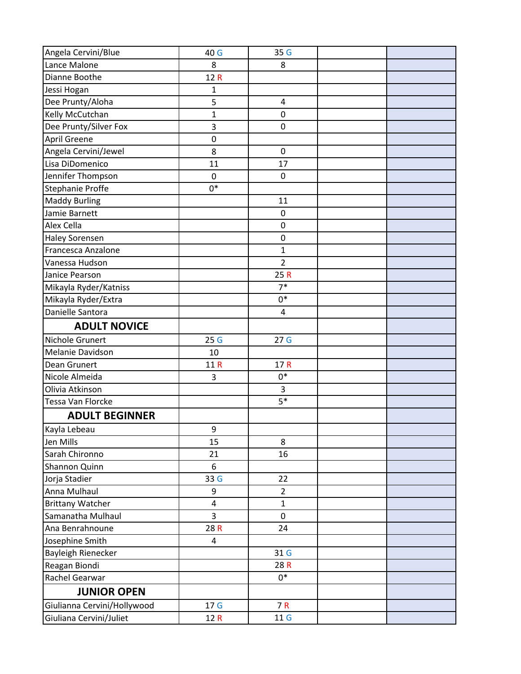| Angela Cervini/Blue         | 40 G            | 35 G            |  |
|-----------------------------|-----------------|-----------------|--|
| Lance Malone                | 8               | 8               |  |
| Dianne Boothe               | 12R             |                 |  |
| Jessi Hogan                 | 1               |                 |  |
| Dee Prunty/Aloha            | 5               | 4               |  |
| Kelly McCutchan             | 1               | 0               |  |
| Dee Prunty/Silver Fox       | 3               | $\mathbf 0$     |  |
| <b>April Greene</b>         | $\pmb{0}$       |                 |  |
| Angela Cervini/Jewel        | 8               | $\pmb{0}$       |  |
| Lisa DiDomenico             | 11              | 17              |  |
| Jennifer Thompson           | $\mathbf 0$     | $\mathbf 0$     |  |
| <b>Stephanie Proffe</b>     | $0*$            |                 |  |
| <b>Maddy Burling</b>        |                 | 11              |  |
| Jamie Barnett               |                 | $\mathbf 0$     |  |
| Alex Cella                  |                 | $\pmb{0}$       |  |
| <b>Haley Sorensen</b>       |                 | 0               |  |
| Francesca Anzalone          |                 | $\mathbf{1}$    |  |
| Vanessa Hudson              |                 | $\overline{2}$  |  |
| Janice Pearson              |                 | 25R             |  |
| Mikayla Ryder/Katniss       |                 | $7*$            |  |
| Mikayla Ryder/Extra         |                 | $0*$            |  |
| Danielle Santora            |                 | 4               |  |
| <b>ADULT NOVICE</b>         |                 |                 |  |
| Nichole Grunert             | 25G             | 27 <sub>G</sub> |  |
| Melanie Davidson            | 10              |                 |  |
| Dean Grunert                | 11 R            | 17R             |  |
| Nicole Almeida              | 3               | $0*$            |  |
| Olivia Atkinson             |                 | 3               |  |
| Tessa Van Florcke           |                 | $5*$            |  |
| <b>ADULT BEGINNER</b>       |                 |                 |  |
| Kayla Lebeau                | 9               |                 |  |
| Jen Mills                   | 15              | 8               |  |
| Sarah Chironno              | 21              | 16              |  |
| Shannon Quinn               | 6               |                 |  |
| Jorja Stadier               | 33 G            | 22              |  |
| Anna Mulhaul                | 9               | $\overline{2}$  |  |
| <b>Brittany Watcher</b>     | 4               | 1               |  |
| Samanatha Mulhaul           | $\overline{3}$  | $\mathbf 0$     |  |
| Ana Benrahnoune             | 28 R            | 24              |  |
| Josephine Smith             | 4               |                 |  |
| Bayleigh Rienecker          |                 | 31 G            |  |
| Reagan Biondi               |                 | 28 R            |  |
| Rachel Gearwar              |                 | $0*$            |  |
| <b>JUNIOR OPEN</b>          |                 |                 |  |
| Giulianna Cervini/Hollywood | 17 <sub>G</sub> | 7 R             |  |
| Giuliana Cervini/Juliet     | 12 R            | 11 <sub>G</sub> |  |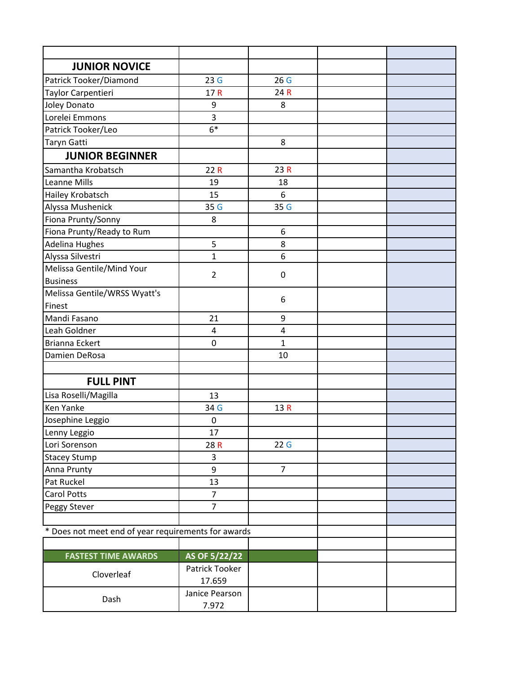| <b>JUNIOR NOVICE</b>                                |                          |                |  |  |
|-----------------------------------------------------|--------------------------|----------------|--|--|
| Patrick Tooker/Diamond                              | 23G                      | 26G            |  |  |
| Taylor Carpentieri                                  | 17R                      | 24 R           |  |  |
| Joley Donato                                        | 9                        | 8              |  |  |
| Lorelei Emmons                                      | 3                        |                |  |  |
| Patrick Tooker/Leo                                  | $6*$                     |                |  |  |
| Taryn Gatti                                         |                          | 8              |  |  |
| <b>JUNIOR BEGINNER</b>                              |                          |                |  |  |
| Samantha Krobatsch                                  | 22R                      | 23R            |  |  |
| Leanne Mills                                        | 19                       | 18             |  |  |
| Hailey Krobatsch                                    | 15                       | 6              |  |  |
| Alyssa Mushenick                                    | 35 G                     | 35 G           |  |  |
| Fiona Prunty/Sonny                                  | 8                        |                |  |  |
| Fiona Prunty/Ready to Rum                           |                          | 6              |  |  |
| <b>Adelina Hughes</b>                               | 5                        | 8              |  |  |
| Alyssa Silvestri                                    | $\mathbf{1}$             | 6              |  |  |
| Melissa Gentile/Mind Your                           | $\overline{2}$           | 0              |  |  |
| <b>Business</b>                                     |                          |                |  |  |
| Melissa Gentile/WRSS Wyatt's                        |                          | 6              |  |  |
| Finest                                              |                          |                |  |  |
| Mandi Fasano                                        | 21                       | 9              |  |  |
| Leah Goldner                                        | 4                        | 4              |  |  |
| <b>Brianna Eckert</b>                               | $\mathbf 0$              | $\overline{1}$ |  |  |
| Damien DeRosa                                       |                          | 10             |  |  |
|                                                     |                          |                |  |  |
| <b>FULL PINT</b>                                    |                          |                |  |  |
| Lisa Roselli/Magilla                                | 13                       |                |  |  |
| <b>Ken Yanke</b>                                    | 34 G                     | 13R            |  |  |
| Josephine Leggio                                    | $\pmb{0}$                |                |  |  |
| Lenny Leggio                                        | 17                       |                |  |  |
| Lori Sorenson                                       | 28R                      | 22G            |  |  |
| <b>Stacey Stump</b>                                 | 3                        |                |  |  |
| Anna Prunty                                         | 9                        | $\overline{7}$ |  |  |
| Pat Ruckel                                          | 13                       |                |  |  |
| <b>Carol Potts</b>                                  | $\overline{7}$           |                |  |  |
| Peggy Stever                                        | $\overline{7}$           |                |  |  |
|                                                     |                          |                |  |  |
| * Does not meet end of year requirements for awards |                          |                |  |  |
|                                                     |                          |                |  |  |
| <b>FASTEST TIME AWARDS</b>                          | AS OF 5/22/22            |                |  |  |
| Cloverleaf                                          | Patrick Tooker<br>17.659 |                |  |  |
|                                                     | Janice Pearson           |                |  |  |
| Dash                                                | 7.972                    |                |  |  |